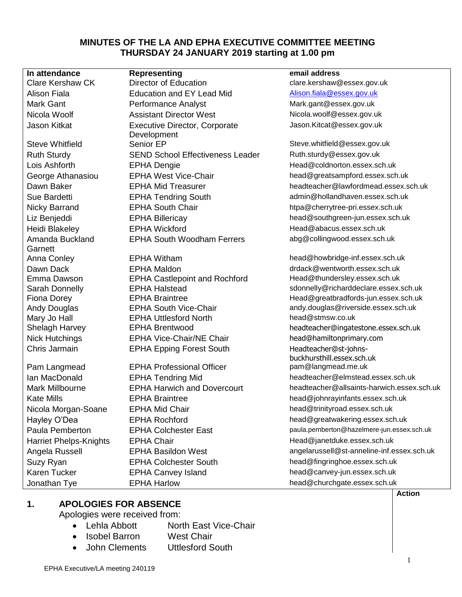#### **MINUTES OF THE LA AND EPHA EXECUTIVE COMMITTEE MEETING THURSDAY 24 JANUARY 2019 starting at 1.00 pm**

Amanda Buckland **Garnett** 

**In attendance Representing email address** Clare Kershaw CK Director of Education clare.kershaw@essex.gov.uk Alison Fiala **Education and EY Lead Mid** [Alison.fiala@essex.gov.uk](mailto:Alison.fiala@essex.gov.uk) Mark Gant **Mark Gant Construent Performance Analyst** Mark.gant Mark.gant @essex.gov.uk Nicola Woolf **Assistant Director West** Nicola woolf@essex.gov.uk Jason Kitkat Executive Director, Corporate Development Steve Whitfield Senior EP Senior EP Steve.whitfield@essex.gov.uk Ruth Sturdy **SEND School Effectiveness Leader** Buth.sturdy@essex.gov.uk Lois Ashforth EPHA Dengie Head@coldnorton.essex.sch.uk George Athanasiou **EPHA West Vice-Chair head@greatsampford.essex.sch.uk** Sue Bardetti EPHA Tendring South admin@hollandhaven.essex.sch.uk Nicky Barrand **EPHA South Chair EPHA South Chair** htpa@cherrytree-pri.essex.sch.uk Liz Benjeddi EPHA Billericay head@southgreen-jun.essex.sch.uk Heidi Blakeley **EPHA Wickford Head@abacus.essex.sch.uk** Head@abacus.essex.sch.uk EPHA South Woodham Ferrers abg@collingwood.essex.sch.uk

Dawn Dack **EPHA Maldon EPHA Maldon EPHA Maldon drdack@wentworth.essex.sch.uk** Emma Dawson EPHA Castlepoint and Rochford Head@thundersley.essex.sch.uk Mary Jo Hall EPHA Uttlesford North head@stmsw.co.uk Nick Hutchings **EPHA Vice-Chair/NE Chair** head@hamiltonprimary.com

Pam Langmead **EPHA Professional Officer pam** @langmead.me.uk Kate Mills **EPHA Braintree head@johnrayinfants.essex.sch.uk** head@johnrayinfants.essex.sch.uk Nicola Morgan-Soane FPHA Mid Chair head@trinityroad.essex.sch.uk Hayley O'Dea **EPHA Rochford head@greatwakering.essex.sch.uk** head@greatwakering.essex.sch.uk Harriet Phelps-Knights EPHA Chair Head Chair Head @janetduke.essex.sch.uk Suzy Ryan EPHA Colchester South head@fingringhoe.essex.sch.uk Karen Tucker **EPHA Canvey Island head@canvey-jun.essex.sch.uk** head@canvey-jun.essex.sch.uk Jonathan Tye EPHA Harlow head@churchgate.essex.sch.uk

Jason.Kitcat@essex.gov.uk

Dawn Baker EPHA Mid Treasurer headteacher@lawfordmead.essex.sch.uk

Anna Conley **EPHA Witham head@howbridge-inf.essex.sch.uk** head@howbridge-inf.essex.sch.uk Sarah Donnelly **EPHA Halstead** state state state state state state state state state state state state state state state state state state state state state state state state state state state state state state state state Fiona Dorey **EPHA Braintree Head@greatbradfords-jun.essex.sch.uk** Head@greatbradfords-jun.essex.sch.uk Andy Douglas **EPHA South Vice-Chair** andy.douglas@riverside.essex.sch.uk Shelagh Harvey EPHA Brentwood headteacher@ingatestone.essex.sch.uk Chris Jarmain **EPHA Epping Forest South** Headteacher@st-johnsbuckhursthill.essex.sch.uk Ian MacDonald **EPHA Tendring Mid** headteacher@elmstead.essex.sch.uk Mark Millbourne EPHA Harwich and Dovercourt headteacher@allsaints-harwich.essex.sch.uk Paula Pemberton EPHA Colchester East paula.pemberton@hazelmere-jun.essex.sch.uk Angela Russell **EPHA Basildon West** angelarussell@st-anneline-inf.essex.sch.uk

#### **1. APOLOGIES FOR ABSENCE**

Apologies were received from:

- Lehla Abbott North East Vice-Chair
	- Isobel Barron West Chair
- John Clements Uttlesford South

**Action**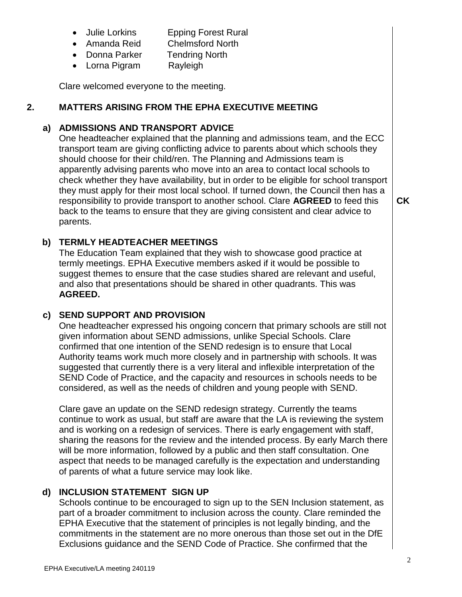- Julie Lorkins Epping Forest Rural
- Amanda Reid Chelmsford North
- Donna Parker Tendring North
- Lorna Pigram Rayleigh

Clare welcomed everyone to the meeting.

#### **2. MATTERS ARISING FROM THE EPHA EXECUTIVE MEETING**

# **a) ADMISSIONS AND TRANSPORT ADVICE**

One headteacher explained that the planning and admissions team, and the ECC transport team are giving conflicting advice to parents about which schools they should choose for their child/ren. The Planning and Admissions team is apparently advising parents who move into an area to contact local schools to check whether they have availability, but in order to be eligible for school transport they must apply for their most local school. If turned down, the Council then has a responsibility to provide transport to another school. Clare **AGREED** to feed this back to the teams to ensure that they are giving consistent and clear advice to parents.

# **b) TERMLY HEADTEACHER MEETINGS**

The Education Team explained that they wish to showcase good practice at termly meetings. EPHA Executive members asked if it would be possible to suggest themes to ensure that the case studies shared are relevant and useful, and also that presentations should be shared in other quadrants. This was **AGREED.**

# **c) SEND SUPPORT AND PROVISION**

One headteacher expressed his ongoing concern that primary schools are still not given information about SEND admissions, unlike Special Schools. Clare confirmed that one intention of the SEND redesign is to ensure that Local Authority teams work much more closely and in partnership with schools. It was suggested that currently there is a very literal and inflexible interpretation of the SEND Code of Practice, and the capacity and resources in schools needs to be considered, as well as the needs of children and young people with SEND.

Clare gave an update on the SEND redesign strategy. Currently the teams continue to work as usual, but staff are aware that the LA is reviewing the system and is working on a redesign of services. There is early engagement with staff, sharing the reasons for the review and the intended process. By early March there will be more information, followed by a public and then staff consultation. One aspect that needs to be managed carefully is the expectation and understanding of parents of what a future service may look like.

# **d) INCLUSION STATEMENT SIGN UP**

Schools continue to be encouraged to sign up to the SEN Inclusion statement, as part of a broader commitment to inclusion across the county. Clare reminded the EPHA Executive that the statement of principles is not legally binding, and the commitments in the statement are no more onerous than those set out in the DfE Exclusions guidance and the SEND Code of Practice. She confirmed that the

**CK**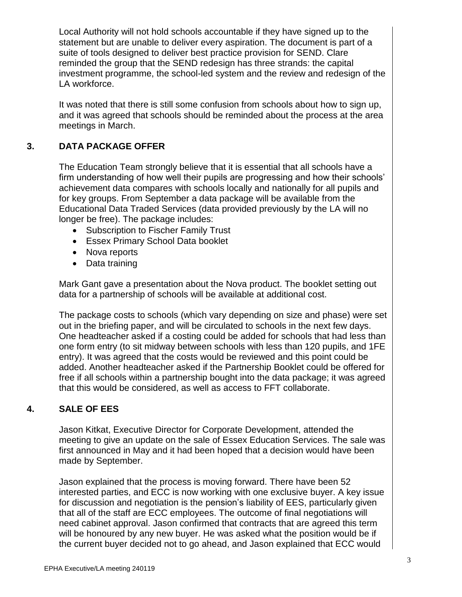Local Authority will not hold schools accountable if they have signed up to the statement but are unable to deliver every aspiration. The document is part of a suite of tools designed to deliver best practice provision for SEND. Clare reminded the group that the SEND redesign has three strands: the capital investment programme, the school-led system and the review and redesign of the LA workforce.

It was noted that there is still some confusion from schools about how to sign up, and it was agreed that schools should be reminded about the process at the area meetings in March.

# **3. DATA PACKAGE OFFER**

The Education Team strongly believe that it is essential that all schools have a firm understanding of how well their pupils are progressing and how their schools' achievement data compares with schools locally and nationally for all pupils and for key groups. From September a data package will be available from the Educational Data Traded Services (data provided previously by the LA will no longer be free). The package includes:

- Subscription to Fischer Family Trust
- Essex Primary School Data booklet
- Nova reports
- Data training

Mark Gant gave a presentation about the Nova product. The booklet setting out data for a partnership of schools will be available at additional cost.

The package costs to schools (which vary depending on size and phase) were set out in the briefing paper, and will be circulated to schools in the next few days. One headteacher asked if a costing could be added for schools that had less than one form entry (to sit midway between schools with less than 120 pupils, and 1FE entry). It was agreed that the costs would be reviewed and this point could be added. Another headteacher asked if the Partnership Booklet could be offered for free if all schools within a partnership bought into the data package; it was agreed that this would be considered, as well as access to FFT collaborate.

# **4. SALE OF EES**

Jason Kitkat, Executive Director for Corporate Development, attended the meeting to give an update on the sale of Essex Education Services. The sale was first announced in May and it had been hoped that a decision would have been made by September.

Jason explained that the process is moving forward. There have been 52 interested parties, and ECC is now working with one exclusive buyer. A key issue for discussion and negotiation is the pension's liability of EES, particularly given that all of the staff are ECC employees. The outcome of final negotiations will need cabinet approval. Jason confirmed that contracts that are agreed this term will be honoured by any new buyer. He was asked what the position would be if the current buyer decided not to go ahead, and Jason explained that ECC would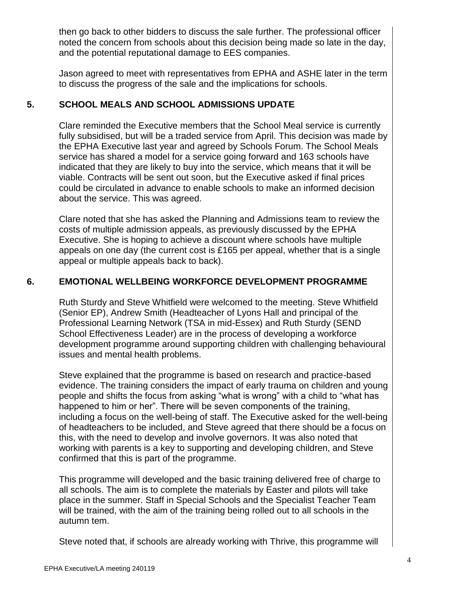then go back to other bidders to discuss the sale further. The professional officer noted the concern from schools about this decision being made so late in the day, and the potential reputational damage to EES companies.

Jason agreed to meet with representatives from EPHA and ASHE later in the term to discuss the progress of the sale and the implications for schools.

# **5. SCHOOL MEALS AND SCHOOL ADMISSIONS UPDATE**

Clare reminded the Executive members that the School Meal service is currently fully subsidised, but will be a traded service from April. This decision was made by the EPHA Executive last year and agreed by Schools Forum. The School Meals service has shared a model for a service going forward and 163 schools have indicated that they are likely to buy into the service, which means that it will be viable. Contracts will be sent out soon, but the Executive asked if final prices could be circulated in advance to enable schools to make an informed decision about the service. This was agreed.

Clare noted that she has asked the Planning and Admissions team to review the costs of multiple admission appeals, as previously discussed by the EPHA Executive. She is hoping to achieve a discount where schools have multiple appeals on one day (the current cost is £165 per appeal, whether that is a single appeal or multiple appeals back to back).

# **6. EMOTIONAL WELLBEING WORKFORCE DEVELOPMENT PROGRAMME**

Ruth Sturdy and Steve Whitfield were welcomed to the meeting. Steve Whitfield (Senior EP), Andrew Smith (Headteacher of Lyons Hall and principal of the Professional Learning Network (TSA in mid-Essex) and Ruth Sturdy (SEND School Effectiveness Leader) are in the process of developing a workforce development programme around supporting children with challenging behavioural issues and mental health problems.

Steve explained that the programme is based on research and practice-based evidence. The training considers the impact of early trauma on children and young people and shifts the focus from asking "what is wrong" with a child to "what has happened to him or her". There will be seven components of the training, including a focus on the well-being of staff. The Executive asked for the well-being of headteachers to be included, and Steve agreed that there should be a focus on this, with the need to develop and involve governors. It was also noted that working with parents is a key to supporting and developing children, and Steve confirmed that this is part of the programme.

This programme will developed and the basic training delivered free of charge to all schools. The aim is to complete the materials by Easter and pilots will take place in the summer. Staff in Special Schools and the Specialist Teacher Team will be trained, with the aim of the training being rolled out to all schools in the autumn tem.

Steve noted that, if schools are already working with Thrive, this programme will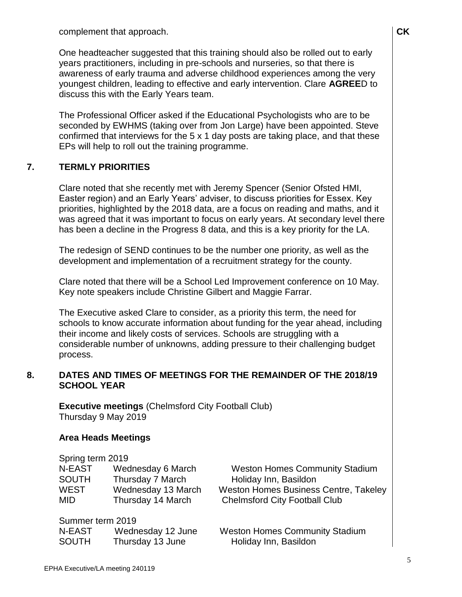complement that approach.

One headteacher suggested that this training should also be rolled out to early years practitioners, including in pre-schools and nurseries, so that there is awareness of early trauma and adverse childhood experiences among the very youngest children, leading to effective and early intervention. Clare **AGREE**D to discuss this with the Early Years team.

The Professional Officer asked if the Educational Psychologists who are to be seconded by EWHMS (taking over from Jon Large) have been appointed. Steve confirmed that interviews for the 5 x 1 day posts are taking place, and that these EPs will help to roll out the training programme.

#### **7. TERMLY PRIORITIES**

Clare noted that she recently met with Jeremy Spencer (Senior Ofsted HMI, Easter region) and an Early Years' adviser, to discuss priorities for Essex. Key priorities, highlighted by the 2018 data, are a focus on reading and maths, and it was agreed that it was important to focus on early years. At secondary level there has been a decline in the Progress 8 data, and this is a key priority for the LA.

The redesign of SEND continues to be the number one priority, as well as the development and implementation of a recruitment strategy for the county.

Clare noted that there will be a School Led Improvement conference on 10 May. Key note speakers include Christine Gilbert and Maggie Farrar.

The Executive asked Clare to consider, as a priority this term, the need for schools to know accurate information about funding for the year ahead, including their income and likely costs of services. Schools are struggling with a considerable number of unknowns, adding pressure to their challenging budget process.

#### **8. DATES AND TIMES OF MEETINGS FOR THE REMAINDER OF THE 2018/19 SCHOOL YEAR**

**Executive meetings** (Chelmsford City Football Club) Thursday 9 May 2019

#### **Area Heads Meetings**

| Spring term 2019 |                    |                                              |
|------------------|--------------------|----------------------------------------------|
| N-EAST           | Wednesday 6 March  | <b>Weston Homes Community Stadium</b>        |
| <b>SOUTH</b>     | Thursday 7 March   | Holiday Inn, Basildon                        |
| <b>WEST</b>      | Wednesday 13 March | <b>Weston Homes Business Centre, Takeley</b> |
| <b>MID</b>       | Thursday 14 March  | <b>Chelmsford City Football Club</b>         |
| Summer term 2019 |                    |                                              |
| N-EAST           | Wednesday 12 June  | <b>Weston Homes Community Stadium</b>        |
| <b>SOUTH</b>     | Thursday 13 June   | Holiday Inn, Basildon                        |